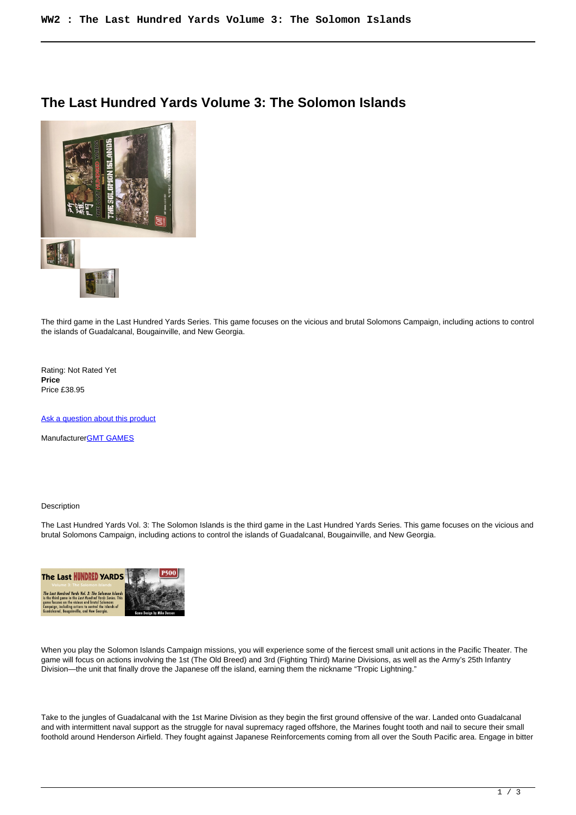## **The Last Hundred Yards Volume 3: The Solomon Islands**

I



The third game in the Last Hundred Yards Series. This game focuses on the vicious and brutal Solomons Campaign, including actions to control the islands of Guadalcanal, Bougainville, and New Georgia.

Rating: Not Rated Yet **Price**  Price £38.95

[Ask a question about this product](https://www.secondchancegames.com/index.php?option=com_virtuemart&view=productdetails&task=askquestion&virtuemart_product_id=13325&virtuemart_category_id=5&tmpl=component)

Manufacturer[GMT GAMES](https://www.secondchancegames.com/index.php?option=com_virtuemart&view=manufacturer&virtuemart_manufacturer_id=2519&tmpl=component)

## Description

The Last Hundred Yards Vol. 3: The Solomon Islands is the third game in the Last Hundred Yards Series. This game focuses on the vicious and brutal Solomons Campaign, including actions to control the islands of Guadalcanal, Bougainville, and New Georgia.



When you play the Solomon Islands Campaign missions, you will experience some of the fiercest small unit actions in the Pacific Theater. The game will focus on actions involving the 1st (The Old Breed) and 3rd (Fighting Third) Marine Divisions, as well as the Army's 25th Infantry Division—the unit that finally drove the Japanese off the island, earning them the nickname "Tropic Lightning."

Take to the jungles of Guadalcanal with the 1st Marine Division as they begin the first ground offensive of the war. Landed onto Guadalcanal and with intermittent naval support as the struggle for naval supremacy raged offshore, the Marines fought tooth and nail to secure their small foothold around Henderson Airfield. They fought against Japanese Reinforcements coming from all over the South Pacific area. Engage in bitter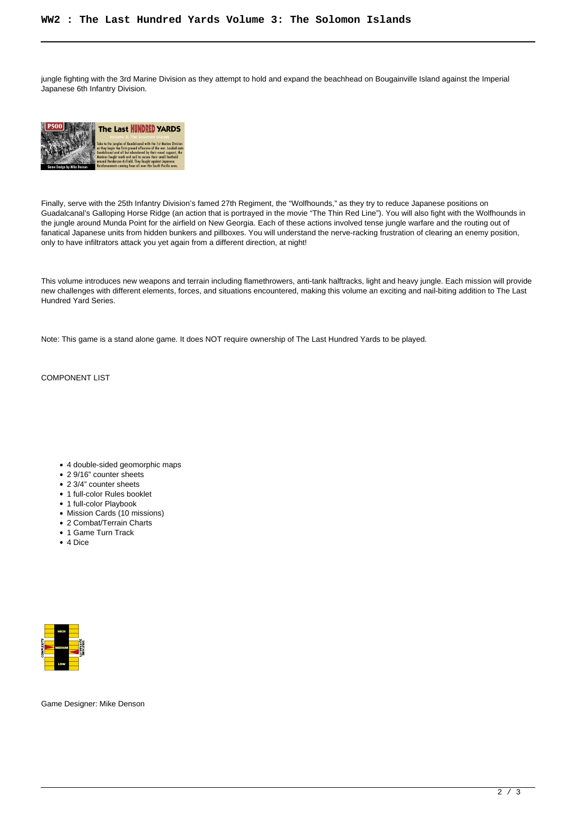jungle fighting with the 3rd Marine Division as they attempt to hold and expand the beachhead on Bougainville Island against the Imperial Japanese 6th Infantry Division.



Finally, serve with the 25th Infantry Division's famed 27th Regiment, the "Wolfhounds," as they try to reduce Japanese positions on Guadalcanal's Galloping Horse Ridge (an action that is portrayed in the movie "The Thin Red Line"). You will also fight with the Wolfhounds in the jungle around Munda Point for the airfield on New Georgia. Each of these actions involved tense jungle warfare and the routing out of fanatical Japanese units from hidden bunkers and pillboxes. You will understand the nerve-racking frustration of clearing an enemy position, only to have infiltrators attack you yet again from a different direction, at night!

This volume introduces new weapons and terrain including flamethrowers, anti-tank halftracks, light and heavy jungle. Each mission will provide new challenges with different elements, forces, and situations encountered, making this volume an exciting and nail-biting addition to The Last Hundred Yard Series.

Note: This game is a stand alone game. It does NOT require ownership of The Last Hundred Yards to be played.

COMPONENT LIST

- 4 double-sided geomorphic maps
- 2 9/16" counter sheets
- 2 3/4" counter sheets
- 1 full-color Rules booklet
- 1 full-color Playbook
- Mission Cards (10 missions)
- 2 Combat/Terrain Charts
- 1 Game Turn Track
- 4 Dice



Game Designer: Mike Denson